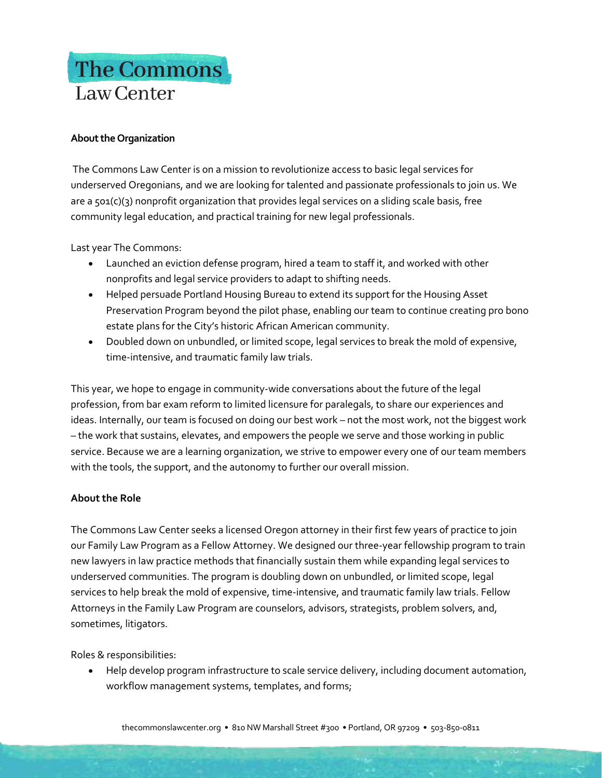## The Commons Law Center

## **About the Organization**

The Commons Law Center is on a mission to revolutionize access to basic legal services for underserved Oregonians, and we are looking for talented and passionate professionals to join us. We are a 501(c)(3) nonprofit organization that provides legal services on a sliding scale basis, free community legal education, and practical training for new legal professionals.

Last year The Commons:

- Launched an eviction defense program, hired a team to staff it, and worked with other nonprofits and legal service providers to adapt to shifting needs.
- Helped persuade Portland Housing Bureau to extend its support for the Housing Asset Preservation Program beyond the pilot phase, enabling our team to continue creating pro bono estate plans for the City's historic African American community.
- Doubled down on unbundled, or limited scope, legal services to break the mold of expensive, time-intensive, and traumatic family law trials.

This year, we hope to engage in community-wide conversations about the future of the legal profession, from bar exam reform to limited licensure for paralegals, to share our experiences and ideas. Internally, our team is focused on doing our best work – not the most work, not the biggest work – the work that sustains, elevates, and empowers the people we serve and those working in public service. Because we are a learning organization, we strive to empower every one of our team members with the tools, the support, and the autonomy to further our overall mission.

## **About the Role**

The Commons Law Center seeks a licensed Oregon attorney in their first few years of practice to join our Family Law Program as a Fellow Attorney. We designed our three-year fellowship program to train new lawyers in law practice methods that financially sustain them while expanding legal services to underserved communities. The program is doubling down on unbundled, or limited scope, legal services to help break the mold of expensive, time-intensive, and traumatic family law trials. Fellow Attorneys in the Family Law Program are counselors, advisors, strategists, problem solvers, and, sometimes, litigators.

Roles & responsibilities:

• Help develop program infrastructure to scale service delivery, including document automation, workflow management systems, templates, and forms;